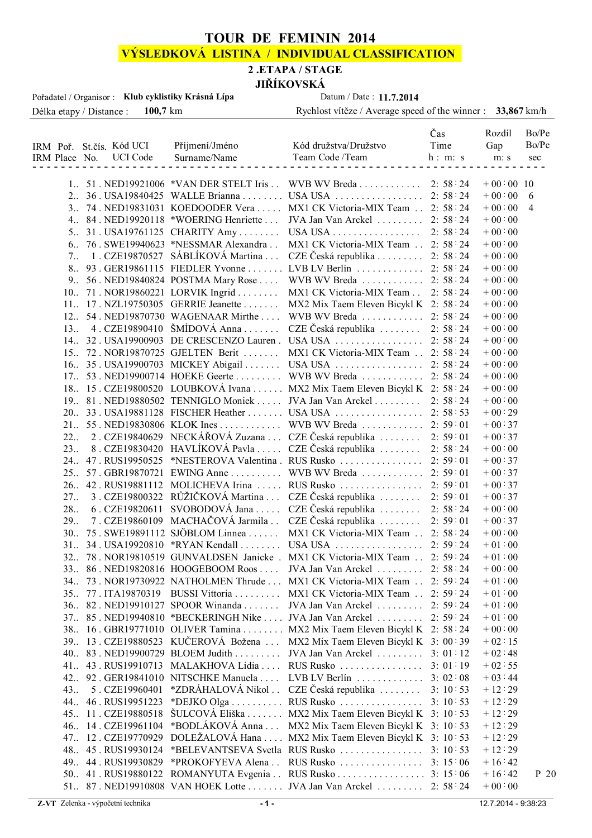## **TOUR DE FEMININ 2014**

# **VÝSLEDKOVÁ LISTINA / INDIVIDUAL CLASSIFICATION**

#### **2 .ETAPA / STAGE**

**JIŘÍKOVSKÁ**

| Pořadatel / Organisor : Klub cyklistiky Krásná Lípa                                                                                                                                                  | Datum / Date: 11.7.2014                                                                                                                                                                                                                                                                          |  |
|------------------------------------------------------------------------------------------------------------------------------------------------------------------------------------------------------|--------------------------------------------------------------------------------------------------------------------------------------------------------------------------------------------------------------------------------------------------------------------------------------------------|--|
| $100,7 \; \mathrm{km}$<br>Délka etapy / Distance :                                                                                                                                                   | Rychlost vítěze / Average speed of the winner : 33,867 km/h                                                                                                                                                                                                                                      |  |
| Příjmení/Jméno<br>IRM Poř. St.čís. Kód UCI<br>UCI Code<br>Surname/Name<br>IRM Place No.                                                                                                              | Bo/Pe<br>Čas<br>Rozdíl<br>Bo/Pe<br>Time<br>Kód družstva/Družstvo<br>Gap<br>Team Code /Team<br>h: m: s<br>m: s<br>sec                                                                                                                                                                             |  |
| $1.51.$ NED19921006 $*$ VAN DER STELT Iris<br>3. 74. NED19831031 KOEDOODER Vera<br>$4.84. NED19920118$ *WOERING Henriette<br>5. 31. USA19761125 CHARITY Amy<br>6. 76. SWE19940623 *NESSMAR Alexandra | WVB WV Breda<br>2:58:24<br>$+00:00:10$<br>2:58:24<br>$+00:00:6$<br>$+00:00 \t 4$<br>MX1 CK Victoria-MIX Team<br>2:58:24<br>$+00:00$<br>$JVA$ Jan Van Arckel<br>2:58:24<br>2:58:24<br>$+00:00$<br>USA USA $\ldots \ldots \ldots \ldots \ldots$<br>MX1 CK Victoria-MIX Team<br>2:58:24<br>$+00:00$ |  |

|                 |                     | 3. 74. NEDI 9831031 KOEDOODER VETA MAI CK VICTOITA-MIA TEAM  2. 58.24       |         | $+00.00$ | - 4  |
|-----------------|---------------------|-----------------------------------------------------------------------------|---------|----------|------|
|                 |                     | 4. 84. NED19920118 *WOERING Henriette  JVA Jan Van Arckel  2: 58:24         |         | $+00:00$ |      |
|                 |                     | 5. 31. USA19761125 CHARITY Amy USA USA 2: 58:24                             |         | $+00:00$ |      |
|                 |                     | 6. 76. SWE19940623 *NESSMAR Alexandra . MX1 CK Victoria-MIX Team . 2: 58:24 |         | $+00:00$ |      |
|                 |                     | 7. 1. CZE19870527 SÁBLÍKOVÁ Martina  CZE Česká republika  2: 58:24          |         | $+00:00$ |      |
|                 |                     | 8. 93. GER19861115 FIEDLER Yvonne  LVB LV Berlín  2: 58:24                  |         | $+00:00$ |      |
|                 |                     | 9. 56. NED19840824 POSTMA Mary Rose  WVB WV Breda  2: 58:24                 |         | $+00:00$ |      |
|                 |                     | 10. 71. NOR19860221 LORVIK Ingrid  MX1 CK Victoria-MIX Team  2: 58:24       |         | $+00:00$ |      |
|                 |                     | 11. 17. NZL19750305 GERRIE Jeanette  MX2 Mix Taem Eleven Bicykl K 2: 58:24  |         | $+00:00$ |      |
|                 |                     | 12. 54. NED19870730 WAGENAAR Mirthe  WVB WV Breda  2: 58:24                 |         | $+00:00$ |      |
| $13_{\ldots}$   |                     | 4. CZE19890410 ŠMÍDOVÁ Anna  CZE Česká republika  2: 58:24                  |         | $+00:00$ |      |
|                 |                     | 14. 32. USA19900903 DE CRESCENZO Lauren. USA USA  2: 58:24                  |         | $+00:00$ |      |
|                 |                     | 15. 72. NOR19870725 GJELTEN Berit  MX1 CK Victoria-MIX Team  2: 58:24       |         | $+00:00$ |      |
|                 |                     |                                                                             |         | $+00:00$ |      |
|                 |                     | 17. 53. NED19900714 HOEKE Geerte  WVB WV Breda  2: 58:24                    |         | $+00:00$ |      |
|                 |                     | 18. 15. CZE19800520 LOUBKOVÁ Ivana  MX2 Mix Taem Eleven Bicykl K 2: 58:24   |         | $+00:00$ |      |
|                 |                     | 19. 81. NED19880502 TENNIGLO Moniek  JVA Jan Van Arckel  2: 58:24           |         | $+00:00$ |      |
|                 |                     |                                                                             |         | $+00:29$ |      |
|                 |                     | 21. 55. NED19830806 KLOK Ines WVB WV Breda 2: 59:01                         |         | $+00:37$ |      |
|                 |                     | 22. 2. CZE19840629 NECKÁŘOVÁ Zuzana  CZE Česká republika  2: 59:01          |         | $+00:37$ |      |
| 23 <sub>1</sub> |                     | 8. CZE19830420 HAVLÍKOVÁ Pavla  CZE Česká republika  2: 58:24               |         | $+00:00$ |      |
|                 |                     |                                                                             |         | $+00:37$ |      |
|                 |                     | 25. 57. GBR19870721 EWING Anne  WVB WV Breda  2:59:01                       |         | $+00:37$ |      |
|                 |                     |                                                                             |         | $+00:37$ |      |
| 27 <sub></sub>  |                     | 3. CZE19800322 RŮŽIČKOVÁ Martina  CZE Česká republika  2: 59:01             |         | $+00:37$ |      |
| 28.             |                     | 6. CZE19820611 SVOBODOVÁ Jana  CZE Česká republika   2: 58:24               |         | $+00:00$ |      |
| 29 <sub></sub>  |                     | 7. CZE19860109 MACHAČOVÁ Jarmila . CZE Česká republika 2: 59:01             |         | $+00:37$ |      |
|                 |                     | 30. 75. SWE19891112 SJÖBLOM Linnea  MX1 CK Victoria-MIX Team  2: 58:24      |         | $+00:00$ |      |
|                 |                     |                                                                             |         | $+01:00$ |      |
|                 |                     | 32. 78. NOR19810519 GUNVALDSEN Janicke. MX1 CK Victoria-MIX Team  2: 59:24  |         | $+01:00$ |      |
|                 |                     |                                                                             |         |          |      |
|                 |                     | 33. 86. NED19820816 HOOGEBOOM Roos  JVA Jan Van Arckel  2: 58:24            |         | $+00:00$ |      |
|                 |                     | 34. 73. NOR19730922 NATHOLMEN Thrude  MX1 CK Victoria-MIX Team  2: 59:24    |         | $+01:00$ |      |
|                 |                     | 35. 77. ITA19870319 BUSSI Vittoria  MX1 CK Victoria-MIX Team  2: 59:24      |         | $+01:00$ |      |
|                 |                     | 36. 82. NED19910127 SPOOR Winanda  JVA Jan Van Arckel  2: 59:24             |         | $+01:00$ |      |
|                 |                     | 37. 85. NED19940810 *BECKERINGH Nike  JVA Jan Van Arckel  2: 59:24          |         | $+01:00$ |      |
|                 |                     | 38. 16. GBR19771010 OLIVER Tamina  MX2 Mix Taem Eleven Bicykl K 2: 58:24    |         | $+00:00$ |      |
|                 |                     | 39. 13. CZE19880523 KUČEROVÁ Božena  MX2 Mix Taem Eleven Bicykl K 3: 00:39  |         | $+02:15$ |      |
| 40 <sub>1</sub> |                     | 83. NED19900729 BLOEM Judith JVA Jan Van Arckel 3: 01:12                    |         | $+02:48$ |      |
|                 |                     | 41. 43. RUS19910713 MALAKHOVA Lidia  RUS Rusko  3: 01:19                    |         | $+02:55$ |      |
|                 |                     | 42. 92. GER19841010 NITSCHKE Manuela  LVB LV Berlín  3: 02:08               |         | $+03:44$ |      |
| 43 <sub></sub>  | 5. CZE19960401      | *ZDRÁHALOVÁ Nikol . CZE Česká republika                                     | 3:10:53 | $+12:29$ |      |
|                 | 44. 46. RUS19951223 |                                                                             | 3:10:53 | $+12:29$ |      |
|                 | 45. 11. CZE19880518 | ŠULCOVÁ Eliška MX2 Mix Taem Eleven Bicykl K 3: 10:53                        |         | $+12:29$ |      |
|                 | 46. 14. CZE19961104 | *BODLÁKOVÁ Anna  MX2 Mix Taem Eleven Bicykl K 3: 10:53                      |         | $+12:29$ |      |
|                 |                     | 47. 12. CZE19770929 DOLEŽALOVÁ Hana  MX2 Mix Taem Eleven Bicykl K 3: 10:53  |         | $+12:29$ |      |
|                 | 48.45.RUS19930124   |                                                                             |         | $+12:29$ |      |
|                 | 49.44.RUS19930829   | *PROKOFYEVA Alena . RUS Rusko 3: 15:06                                      |         | $+16:42$ |      |
|                 |                     | 50. 41. RUS19880122 ROMANYUTA Evgenia RUS Rusko 3: 15:06                    |         | $+16:42$ | P 20 |
|                 |                     | 51. 87. NED19910808 VAN HOEK Lotte  JVA Jan Van Arckel  2: 58:24            |         | $+00:00$ |      |
|                 |                     |                                                                             |         |          |      |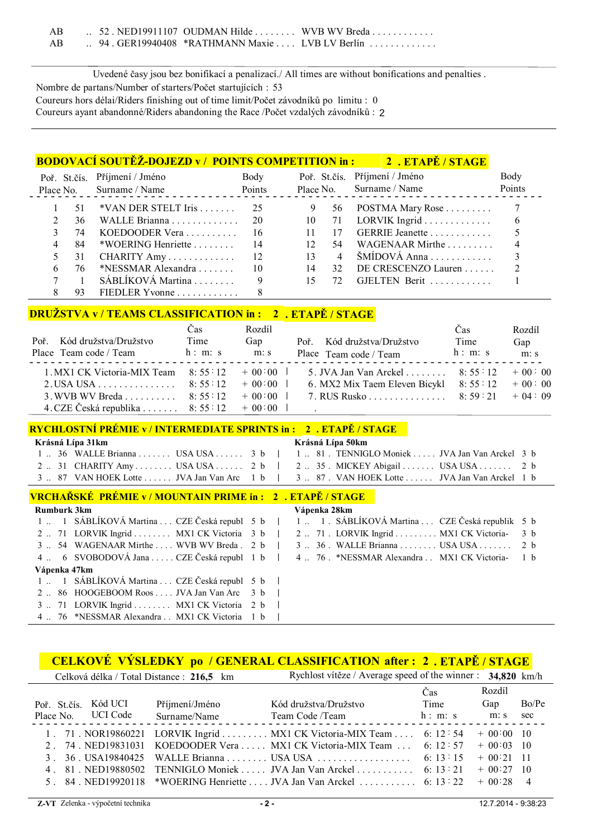| AB |  |  | $\therefore$ 52. NED19911107 OUDMAN Hilde $\dots \dots \dots$ WVB WV Breda $\dots \dots \dots$ |
|----|--|--|------------------------------------------------------------------------------------------------|
| AB |  |  | $\therefore$ 94. GER19940408 *RATHMANN Maxie $\therefore$ LVB LV Berlín $\dots \dots \dots$    |

Uvedené časy jsou bez bonifikací a penalizací./ All times are without bonifications and penalties . Nombre de partans/Number of starters/Počet startujících : 53 Coureurs hors délai/Riders finishing out of time limit/Počet závodníků po limitu : 0 Coureurs ayant abandonné/Riders abandoning the Race /Počet vzdalých závodníků : 2

#### **BODOVACÍ SOUTĚŽ-DOJEZD v / POINTS COMPETITION in : 2 . ETAPĚ / STAGE**

|     | Poř. St.čís. Příjmení / Jméno<br>Place No. Surname / Name | Body<br>Points |                 |                | Poř. St.čís. Příjmení / Jméno<br>Place No. Surname / Name | Body<br>Points |
|-----|-----------------------------------------------------------|----------------|-----------------|----------------|-----------------------------------------------------------|----------------|
|     | $*VAN$ DER STELT Iris 25                                  |                |                 | 56             | POSTMA Mary Rose $\dots\dots\dots$                        |                |
| 36. |                                                           |                | 10              |                |                                                           | -6             |
| 74  | KOEDOODER Vera $\ldots \ldots \ldots$ 16                  |                |                 | 17             | GERRIE Jeanette                                           |                |
| 84  | *WOERING Henriette 1.1 14                                 |                | 12 <sup>°</sup> | 54             | WAGENAAR Mirthe $\ldots$                                  |                |
| 31  | CHARITY Amy $12$                                          |                | 13              | $\overline{4}$ | $\text{SMIDOVA}$ Anna                                     |                |
| 76. | *NESSMAR Alexandra $\ldots$ 10                            |                | 14              | 32             | DE CRESCENZO Lauren $\ldots$ 2                            |                |
|     | $SÁBLÍKOVÁ Martina$                                       | 9              | 15              | 72.            | GJELTEN Berit                                             |                |
|     | FIEDLER Yvonne $\ldots$                                   |                |                 |                |                                                           |                |

#### **DRUŽSTVA v / TEAMS CLASSIFICATION in : 2 . ETAPĚ / STAGE**

|                                                             | Cas     | Rozdíl   |                                                    | Cas     | Rozdíl   |
|-------------------------------------------------------------|---------|----------|----------------------------------------------------|---------|----------|
| Poř. Kód družstva/Družstvo                                  | Time    | Gap      | Poř. Kód družstva/Družstvo                         | Time    | Gap      |
| Place Team code / Team                                      | h: m: s | m: s     | Place Team code / Team                             | h: m: s | m: s     |
| 1. MX1 CK Victoria-MIX Team 8: 55 12 + 00:00                |         |          | 5. JVA Jan Van Arckel 8: 55 12                     |         | $+00:00$ |
| 2. USA USA 8: 55 : 12                                       |         | $+00:00$ | 6. MX2 Mix Taem Eleven Bicykl $8: 55: 12 + 00: 00$ |         |          |
| 3. WVB WV Breda 8: 55 : 12                                  |         | $+00:00$ | 7. RUS Rusko 8: 59: 21 + 04: 09                    |         |          |
| 4. CZE Česká republika $\ldots \ldots$ 8: 55 : 12 + 00 : 00 |         |          |                                                    |         |          |

#### **RYCHLOSTNÍ PRÉMIE v / INTERMEDIATE SPRINTS in : 2 . ETAPĚ / STAGE**

| Krásná Lípa 31km                                                                           | Krásná Lípa 50km |
|--------------------------------------------------------------------------------------------|------------------|
| 1  36 WALLE Brianna  USA USA  3 b   1  81 . TENNIGLO Moniek  JVA Jan Van Arckel 3 b        |                  |
| 2  31 CHARITY Amy  USA USA  2 b $\vert$ 2  35 . MICKEY Abigail  USA USA  2 b               |                  |
| 3 . 87 VAN HOEK Lotte  JVA Jan Van Arc 1 b   3  87. VAN HOEK Lotte  JVA Jan Van Arckel 1 b |                  |

#### **VRCHAŘSKÉ PRÉMIE v / MOUNTAIN PRIME in : 2 . ETAPĚ / STAGE**

| <b>Rumburk 3km</b>                              | Vápenka 28km                                                                                    |
|-------------------------------------------------|-------------------------------------------------------------------------------------------------|
|                                                 | 1  1 SÁBLÍKOVÁ Martina  CZE Česká republ 5 b   1  1 . SÁBLÍKOVÁ Martina  CZE Česká republik 5 b |
| 2  71 LORVIK Ingrid  MX1 CK Victoria 3 b        | 2  71 . LORVIK Ingrid  MX1 CK Victoria- 3 b                                                     |
| $3 \dots 54$ WAGENAAR Mirthe WVB WV Breda $2 b$ | 3  36 . WALLE Brianna  USA USA  2 b                                                             |
| 4. 6 SVOBODOVÁ Jana  CZE Česká republ 1 b       | 4  76 . *NESSMAR Alexandra . MX1 CK Victoria- 1 b                                               |
| Vápenka 47km                                    |                                                                                                 |
| 1. 1 SÁBLÍKOVÁ Martina  CZE Česká republ 5 b    |                                                                                                 |
| 2 86 HOOGEBOOM Roos  JVA Jan Van Arc 3 b        |                                                                                                 |
| 3  71 LORVIK Ingrid  MX1 CK Victoria 2 b        |                                                                                                 |
| 4  76 *NESSMAR Alexandra  MX1 CK Victoria 1 b   |                                                                                                 |
|                                                 |                                                                                                 |

### **CELKOVÉ VÝSLEDKY po / GENERAL CLASSIFICATION 2 . ETAPĚ / STAGE after :**

| Rychlost vítěze / Average speed of the winner : $34,820$ km/h<br>Celková délka / Total Distance : 216,5 km |             |                 |
|------------------------------------------------------------------------------------------------------------|-------------|-----------------|
| Cas                                                                                                        | Rozdíl      |                 |
| Time<br>Kód UCI<br>Kód družstva/Družstvo<br>Příjmení/Jméno<br>Poř. St.čís.                                 | Gap         | Bo/Pe           |
| Place No. UCI Code<br>h: m: s<br>Surname/Name<br>Team Code /Team                                           | m: s        | sec             |
| 1. 71. NOR19860221 LORVIK Ingrid  MX1 CK Victoria-MIX Team  6: 12:54                                       | $+00:00$ 10 |                 |
| 2. 74. NED19831031 KOEDOODER Vera  MX1 CK Victoria-MIX Team  6: 12:57                                      | $+00:03:10$ |                 |
|                                                                                                            | $+00:21$ 11 |                 |
| 4. 81. NED19880502 TENNIGLO Moniek  JVA Jan Van Arckel  6: 13:21                                           | $+00:27$    | $\overline{10}$ |
| 5. 84. NED19920118 *WOERING Henriette  JVA Jan Van Arckel  6: 13:22                                        | $+00:28$    | $\overline{4}$  |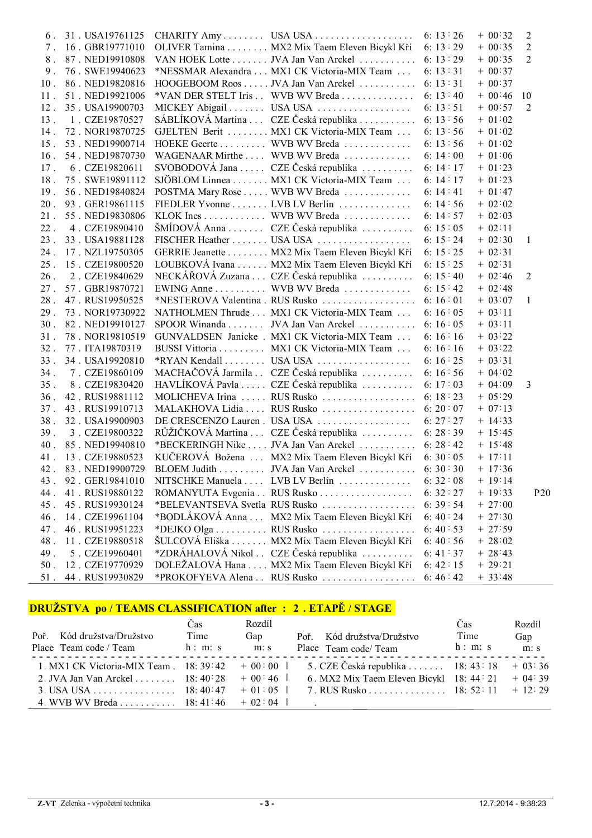| 6.          | 31. USA19761125     | CHARITY Amy  USA USA                                     | 6: $13:26$ | $+00:32$  | $\overline{2}$ |
|-------------|---------------------|----------------------------------------------------------|------------|-----------|----------------|
| $7_{\cdot}$ | 16. GBR19771010     | OLIVER Tamina MX2 Mix Taem Eleven Bicykl Kří             | 6: 13: 29  | $+ 00:35$ | 2              |
| 8.          | 87. NED19910808     | VAN HOEK Lotte JVA Jan Van Arckel 6: 13:29               |            | $+ 00:35$ | $\overline{2}$ |
| 9.          | 76. SWE19940623     | *NESSMAR Alexandra MX1 CK Victoria-MIX Team              | 6: $13:31$ | $+ 00:37$ |                |
| $10$ .      | 86. NED19820816     | HOOGEBOOM Roos JVA Jan Van Arckel 6: 13:31               |            | $+ 00:37$ |                |
| 11.         | 51. NED19921006     | *VAN DER STELT Iris . WVB WV Breda 6: 13:40              |            | $+00:46$  | 10             |
| 12.         | 35. USA19900703     |                                                          | 6: $13:51$ | $+ 00:57$ | 2              |
| 13.         | 1. CZE19870527      | SÁBLÍKOVÁ Martina  CZE Česká republika  6: 13:56         |            | $+ 01:02$ |                |
| 14.         | 72. NOR19870725     | GJELTEN Berit  MX1 CK Victoria-MIX Team                  | 6: $13:56$ | $+ 01:02$ |                |
| $15$ .      | 53. NED19900714     | HOEKE Geerte WVB WV Breda                                | 6: $13:56$ | $+ 01:02$ |                |
| $16$ .      | 54. NED19870730     | WAGENAAR Mirthe  WVB WV Breda                            | 6: $14:00$ | $+ 01:06$ |                |
| 17.         | 6. CZE19820611      | SVOBODOVÁ Jana  CZE Česká republika                      | 6: $14:17$ | $+ 01:23$ |                |
| 18.         | 75. SWE19891112     | SJÖBLOM Linnea MX1 CK Victoria-MIX Team                  | 6: $14:17$ | $+ 01:23$ |                |
| 19.         | 56. NED19840824     | POSTMA Mary Rose WVB WV Breda                            | 6: $14:41$ | $+ 01:47$ |                |
| $20$ .      | 93. GER19861115     | FIEDLER Yvonne LVB LV Berlín                             | 6:14:56    | $+ 02:02$ |                |
| $21$ .      | 55. NED19830806     | KLOK Ines WVB WV Breda                                   | 6: $14:57$ | $+ 02:03$ |                |
| $22$ .      | 4. CZE19890410      | ŠMÍDOVÁ Anna CZE Česká republika                         | 6: $15:05$ | $+ 02:11$ |                |
| 23.         | 33. USA19881128     |                                                          | 6: $15:24$ | $+ 02:30$ | $\mathbf{1}$   |
| 24.         | 17. NZL19750305     | GERRIE Jeanette MX2 Mix Taem Eleven Bicykl Kří           | 6: 15: 25  | $+ 02:31$ |                |
| 25.         | 15. CZE19800520     | LOUBKOVÁ Ivana MX2 Mix Taem Eleven Bicykl Kří            | 6: $15:25$ | $+ 02:31$ |                |
| 26.         | 2. CZE19840629      | NECKÁŘOVÁ Zuzana  CZE Česká republika                    | 6: $15:40$ | $+ 02:46$ | 2              |
| 27.         | 57. GBR19870721     | EWING Anne WVB WV Breda                                  | 6: $15:42$ | $+ 02:48$ |                |
| 28.         | 47. RUS19950525     | *NESTEROVA Valentina . RUS Rusko                         | 6: $16:01$ | $+ 03:07$ | $\mathbf{1}$   |
| 29.         | 73. NOR19730922     | NATHOLMEN Thrude MX1 CK Victoria-MIX Team                | 6: $16:05$ | $+ 03:11$ |                |
| 30.         | 82. NED19910127     | SPOOR Winanda JVA Jan Van Arckel                         | 6:16:05    | $+ 03:11$ |                |
| 31.         | 78. NOR19810519     | GUNVALDSEN Janicke . MX1 CK Victoria-MIX Team            | 6:16:16    | $+ 03:22$ |                |
| 32.         | 77. ITA19870319     | BUSSI Vittoria MX1 CK Victoria-MIX Team                  | 6:16:16    | $+ 03:22$ |                |
| 33.         | 34. USA19920810     |                                                          | 6: $16:25$ | $+ 03:31$ |                |
| 34.         | 7. CZE19860109      | MACHAČOVÁ Jarmila . CZE Česká republika                  | 6:16:56    | $+ 04:02$ |                |
| 35.         | 8. CZE19830420      | HAVLÍKOVÁ Pavla  CZE Česká republika                     | 6:17:03    | $+ 04:09$ | 3              |
| 36.         | 42. RUS19881112     |                                                          |            | $+ 05:29$ |                |
| 37.         | 43. RUS19910713     | MALAKHOVA Lidia  RUS Rusko  6: 20:07                     |            | $+ 07:13$ |                |
| 38.         | 32. USA19900903     | DE CRESCENZO Lauren. USA USA                             | 6:27:27    | $+ 14:33$ |                |
| 39.         | 3. CZE19800322      | RŮŽIČKOVÁ Martina  CZE Česká republika                   | 6:28:39    | $+ 15:45$ |                |
| 40.         | 85. NED19940810     | *BECKERINGH Nike  JVA Jan Van Arckel  6:28:42            |            | $+ 15:48$ |                |
| 41.         | 13. CZE19880523     | KUČEROVÁ Božena  MX2 Mix Taem Eleven Bicykl Kří 6: 30:05 |            | $+ 17:11$ |                |
|             | 42. 83. NED19900729 | BLOEM Judith JVA Jan Van Arckel 6: 30:30                 |            | $+ 17:36$ |                |
| 43.         | 92. GER19841010     | NITSCHKE Manuela  LVB LV Berlín                          | 6:32:08    | $+ 19:14$ |                |
| 44.         | 41. RUS19880122     | ROMANYUTA Evgenia RUS Rusko                              | 6:32:27    | $+ 19:33$ | P20            |
| 45.         | 45. RUS19930124     | *BELEVANTSEVA Svetla RUS Rusko                           | 6:39:54    | $+ 27:00$ |                |
| 46.         | 14. CZE19961104     | *BODLÁKOVÁ Anna  MX2 Mix Taem Eleven Bicykl Kří          | 6:40:24    | $+27:30$  |                |
| 47.         | 46. RUS19951223     |                                                          | 6:40:53    | $+27:59$  |                |
| 48.         | 11. CZE19880518     | ŠULCOVÁ Eliška MX2 Mix Taem Eleven Bicykl Kří            | 6:40:56    | $+ 28:02$ |                |
| 49.         | 5. CZE19960401      | *ZDRÁHALOVÁ Nikol . CZE Česká republika                  | 6: 41: 37  | $+ 28:43$ |                |
| $50$ .      | 12. CZE19770929     | DOLEŽALOVÁ Hana  MX2 Mix Taem Eleven Bicykl Kří          | 6:42:15    | $+29:21$  |                |
| $51$ .      | 44. RUS19930829     |                                                          | 6:46:42    | $+ 33:48$ |                |
|             |                     |                                                          |            |           |                |

# **DRUŽSTVA po / TEAMS CLASSIFICATION after : 2 . ETAPĚ / STAGE**

| Poř. Kód družstva/Družstvo<br>Place Team code / Team h: m: s                                | Čas<br>Time | Rozdíl<br>Gap<br>m: s | Poř. Kód družstva/Družstvo<br>Place Team code/ Team                                                        | Čas<br>Time<br>h: m: s | Rozdíl<br>Gap<br>m: s |
|---------------------------------------------------------------------------------------------|-------------|-----------------------|------------------------------------------------------------------------------------------------------------|------------------------|-----------------------|
| 1. MX1 CK Victoria-MIX Team $18:39:42 + 00:00$<br>2. JVA Jan Van Arckel  18:40:28 $+$ 00:46 |             |                       | 5. CZE Česká republika $\ldots$ 18: 43: 18 + 03: 36<br>6. MX2 Mix Taem Eleven Bicykl $18: 44: 21 + 04: 39$ |                        |                       |
| 3. USA USA 18: $40:47 \quad +01:05$<br>4. WVB WV Breda 18: 41: 46 $+$ 02: 04                |             |                       | 7. RUS Rusko 18: 52: 11 + 12: 29                                                                           |                        |                       |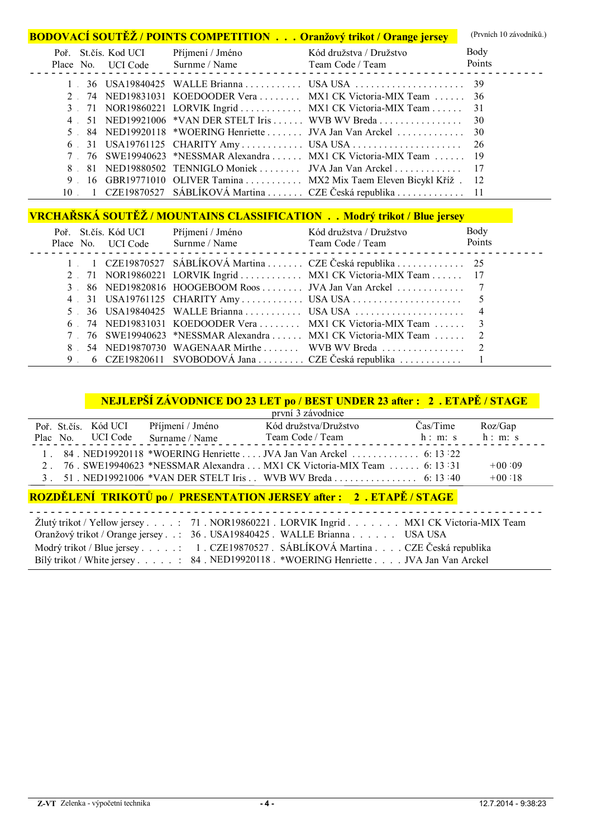|                |                      |                  | <b>BODOVACÍ SOUTĚŽ / POINTS COMPETITION Oranžový trikot / Orange jersey</b> | (Prvních 10 závodníků.) |
|----------------|----------------------|------------------|-----------------------------------------------------------------------------|-------------------------|
|                | Poř. St.čís. Kod UCI | Příjmení / Jméno | Kód družstva / Družstvo                                                     | Body                    |
|                |                      |                  | Place No. UCI Code Surnme / Name Team Code / Team Points Points             |                         |
|                |                      |                  |                                                                             |                         |
|                |                      |                  | 74 NED19831031 KOEDOODER Vera  MX1 CK Victoria-MIX Team  36                 |                         |
|                |                      |                  | 3 71 NOR19860221 LORVIK Ingrid  MX1 CK Victoria-MIX Team  31                |                         |
| $4 \quad$      |                      |                  |                                                                             |                         |
|                |                      |                  |                                                                             |                         |
|                |                      |                  |                                                                             |                         |
|                |                      |                  | 76 SWE19940623 *NESSMAR Alexandra  MX1 CK Victoria-MIX Team  19             |                         |
| 8.             |                      |                  | 81 NED19880502 TENNIGLO Moniek JVA Jan Van Arckel 17                        |                         |
| 9 <sup>1</sup> |                      |                  | 16 GBR19771010 OLIVER Tamina  MX2 Mix Taem Eleven Bicykl Kříž. 12           |                         |
|                |                      |                  | 10 – 1 CZE19870527 SÁBLÍKOVÁ Martina  CZE Česká republika  11               |                         |

# **VRCHAŘSKÁ SOUTĚŽ / MOUNTAINS CLASSIFICATION . . Modrý trikot / Blue jersey**

|                | Poř. St.čís. Kód UCI<br>Place No. UCI Code | Příjmení / Jméno<br>Surnme / Name | Kód družstva / Družstvo<br>Team Code / Team                      | Body<br>Points |
|----------------|--------------------------------------------|-----------------------------------|------------------------------------------------------------------|----------------|
|                |                                            |                                   | 1 1 CZE19870527 SÁBLÍKOVÁ Martina  CZE Česká republika  25       |                |
|                |                                            |                                   | 2 71 NOR19860221 LORVIK Ingrid  MX1 CK Victoria-MIX Team  17     |                |
|                |                                            |                                   | 86 NED19820816 HOOGEBOOM Roos JVA Jan Van Arckel 7               |                |
|                |                                            |                                   |                                                                  |                |
|                |                                            |                                   |                                                                  |                |
|                |                                            |                                   | 6 74 NED19831031 KOEDOODER Vera  MX1 CK Victoria-MIX Team  3     |                |
|                |                                            |                                   | 7 76 SWE19940623 *NESSMAR Alexandra  MX1 CK Victoria-MIX Team  2 |                |
| 8              |                                            |                                   |                                                                  |                |
| 9 <sup>1</sup> |                                            |                                   | 6 CZE19820611 SVOBODOVÁ Jana  CZE Česká republika                |                |

# **NEJLEPŠÍ ZÁVODNICE DO 23 LET po / BEST UNDER 23 after : 2 . ETAPĚ / STAGE**

|                   |                                                                                                                                                                                                                                      |                  | první 3 závodnice                                                         |          |          |
|-------------------|--------------------------------------------------------------------------------------------------------------------------------------------------------------------------------------------------------------------------------------|------------------|---------------------------------------------------------------------------|----------|----------|
|                   | Poř. St.čís. Kód UCI                                                                                                                                                                                                                 | Příjmení / Jméno | Kód družstva/Družstvo                                                     | Čas/Time | Roz/Gap  |
|                   | Plac No. UCI Code                                                                                                                                                                                                                    | Surname / Name   | Team Code / Team                                                          | h: m: s  | h: m: s  |
|                   |                                                                                                                                                                                                                                      |                  |                                                                           |          |          |
|                   |                                                                                                                                                                                                                                      |                  | 2. 76. SWE19940623 *NESSMAR Alexandra  MX1 CK Victoria-MIX Team  6: 13:31 |          | $+00.09$ |
|                   |                                                                                                                                                                                                                                      |                  |                                                                           |          | $+00:18$ |
| <b>CONTRACTOR</b> | <u>in the second contract of the second contract of the second contract of the second contract of the second contract of the second contract of the second contract of the second contract of the second contract of the second </u> |                  |                                                                           |          |          |

#### **ROZDĚLENÍ TRIKOTŮ po / PRESENTATION JERSEY after : 2 . ETAPĚ / STAGE**

| Žlutý trikot / Yellow jersey 71. NOR19860221. LORVIK Ingrid MX1 CK Victoria-MIX Team |
|--------------------------------------------------------------------------------------|
| Oranžový trikot / Orange jersey: 36. USA19840425. WALLE Brianna. USA USA             |
| Modrý trikot / Blue jersey 1. CZE19870527. SÁBLÍKOVÁ Martina CZE Česká republika     |
| Bilý trikot / White jersey 84. NED19920118. *WOERING Henriette JVA Jan Van Arckel    |